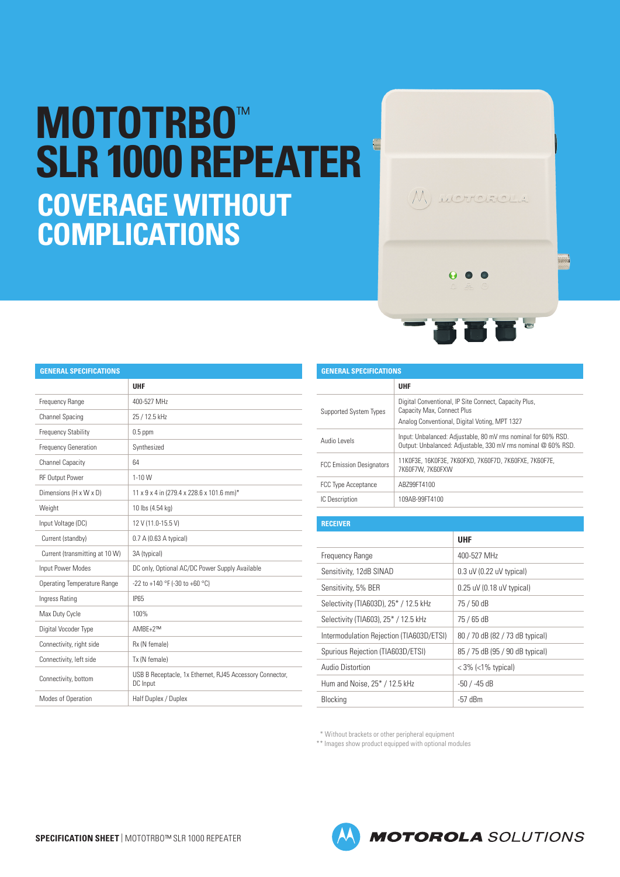## **MOTOTRBO**™ **SLR 1000 REPEATER COVERAGE WITHOUT COMPLICATIONS**

| <b>GENERAL SPECIFICATIONS</b>   |                                                                                                                                      |  |  |
|---------------------------------|--------------------------------------------------------------------------------------------------------------------------------------|--|--|
|                                 | <b>UHF</b>                                                                                                                           |  |  |
| <b>Supported System Types</b>   | Digital Conventional, IP Site Connect, Capacity Plus,<br>Capacity Max, Connect Plus<br>Analog Conventional, Digital Voting, MPT 1327 |  |  |
| Audio Levels                    | Input: Unbalanced: Adjustable, 80 mV rms nominal for 60% RSD.<br>Output: Unbalanced: Adjustable, 330 mV rms nominal @ 60% RSD.       |  |  |
| <b>FCC Emission Designators</b> | 11K0F3E, 16K0F3E, 7K60FXD, 7K60F7D, 7K60FXE, 7K60F7E,<br>7K60F7W, 7K60FXW                                                            |  |  |
| <b>FCC Type Acceptance</b>      | AB799FT4100                                                                                                                          |  |  |
| IC Description                  | 109AB-99FT4100                                                                                                                       |  |  |

## **RECEIVER UHF** Frequency Range **1988** and 1990-527 MHz Sensitivity, 12dB SINAD | 0.3 uV (0.22 uV typical) Sensitivity, 5% BER 0.25 uV (0.18 uV typical) Selectivity (TIA603D), 25\* / 12.5 kHz 75 / 50 dB Selectivity (TIA603), 25<sup>\*</sup> / 12.5 kHz 75 / 65 dB Intermodulation Rejection (TIA603D/ETSI) | 80 / 70 dB (82 / 73 dB typical) Spurious Rejection (TIA603D/ETSI) 85 / 75 dB (95 / 90 dB typical) Audio Distortion  $\vert$  < 3% (<1% typical) Hum and Noise, 25\* / 12.5 kHz -50 / -45 dB

\* Without brackets or other peripheral equipment

\*\* Images show product equipped with optional modules

Blocking **-57** dBm

|                                    | UHF                                            |
|------------------------------------|------------------------------------------------|
| Frequency Range                    | 400-527 MHz                                    |
| Channel Spacing                    | 25 / 12.5 kHz                                  |
| <b>Frequency Stability</b>         | $0.5$ ppm                                      |
| <b>Frequency Generation</b>        | Synthesized                                    |
| <b>Channel Capacity</b>            | 64                                             |
| <b>RF Output Power</b>             | $1 - 10W$                                      |
| Dimensions (H x W x D)             | 11 x 9 x 4 in (279.4 x 228.6 x 101.6 mm)*      |
| Weight                             | 10 lbs (4.54 kg)                               |
| Input Voltage (DC)                 | 12 V (11.0-15.5 V)                             |
| Current (standby)                  | 0.7 A (0.63 A typical)                         |
| Current (transmitting at 10 W)     | 3A (typical)                                   |
| Input Power Modes                  | DC only, Optional AC/DC Power Supply Available |
| <b>Operating Temperature Range</b> | -22 to +140 °F (-30 to +60 °C)                 |
| Ingress Rating                     | <b>IP65</b>                                    |
| Max Duty Cycle                     | 100%                                           |
| Digital Vocoder Type               | $AMBF+2^{TM}$                                  |
| Connectivity, right side           | Rx (N female)                                  |
| Connectivity, left side            | Tx (N female)                                  |

Connectivity, bottom USB B Receptacle, 1x Ethernet, RJ45 Accessory Connector, DC Input

**GENERAL SPECIFICATIONS**

| (M) MOTOROLA                                     |
|--------------------------------------------------|
| $\begin{array}{ccccc}\n0 & 0 & 0 \\ \end{array}$ |
| KRE <sup>.</sup><br><b>ASSESSMENT</b>            |

Modes of Operation Half Duplex / Duplex